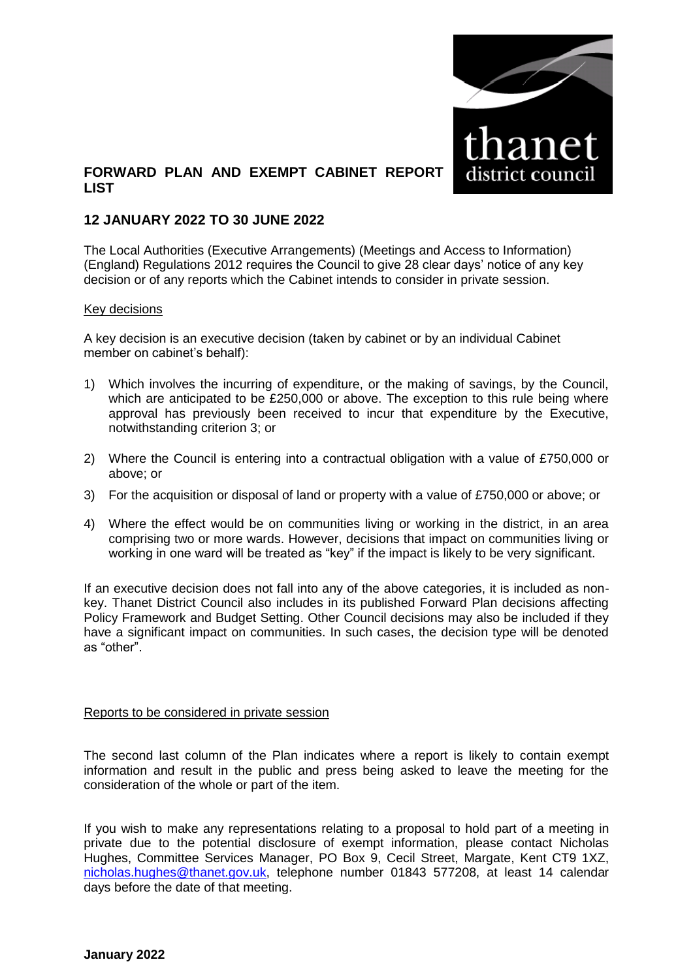

## **FORWARD PLAN AND EXEMPT CABINET REPORT LIST**

## **12 JANUARY 2022 TO 30 JUNE 2022**

The Local Authorities (Executive Arrangements) (Meetings and Access to Information) (England) Regulations 2012 requires the Council to give 28 clear days' notice of any key decision or of any reports which the Cabinet intends to consider in private session.

#### Key decisions

A key decision is an executive decision (taken by cabinet or by an individual Cabinet member on cabinet's behalf):

- 1) Which involves the incurring of expenditure, or the making of savings, by the Council, which are anticipated to be £250,000 or above. The exception to this rule being where approval has previously been received to incur that expenditure by the Executive, notwithstanding criterion 3; or
- 2) Where the Council is entering into a contractual obligation with a value of £750,000 or above; or
- 3) For the acquisition or disposal of land or property with a value of £750,000 or above; or
- 4) Where the effect would be on communities living or working in the district, in an area comprising two or more wards. However, decisions that impact on communities living or working in one ward will be treated as "key" if the impact is likely to be very significant.

If an executive decision does not fall into any of the above categories, it is included as nonkey. Thanet District Council also includes in its published Forward Plan decisions affecting Policy Framework and Budget Setting. Other Council decisions may also be included if they have a significant impact on communities. In such cases, the decision type will be denoted as "other".

#### Reports to be considered in private session

The second last column of the Plan indicates where a report is likely to contain exempt information and result in the public and press being asked to leave the meeting for the consideration of the whole or part of the item.

If you wish to make any representations relating to a proposal to hold part of a meeting in private due to the potential disclosure of exempt information, please contact Nicholas Hughes, Committee Services Manager, PO Box 9, Cecil Street, Margate, Kent CT9 1XZ, [nicholas.hughes@thanet.gov.uk,](mailto:nicholas.hughes@thanet.gov.uk) telephone number 01843 577208, at least 14 calendar days before the date of that meeting.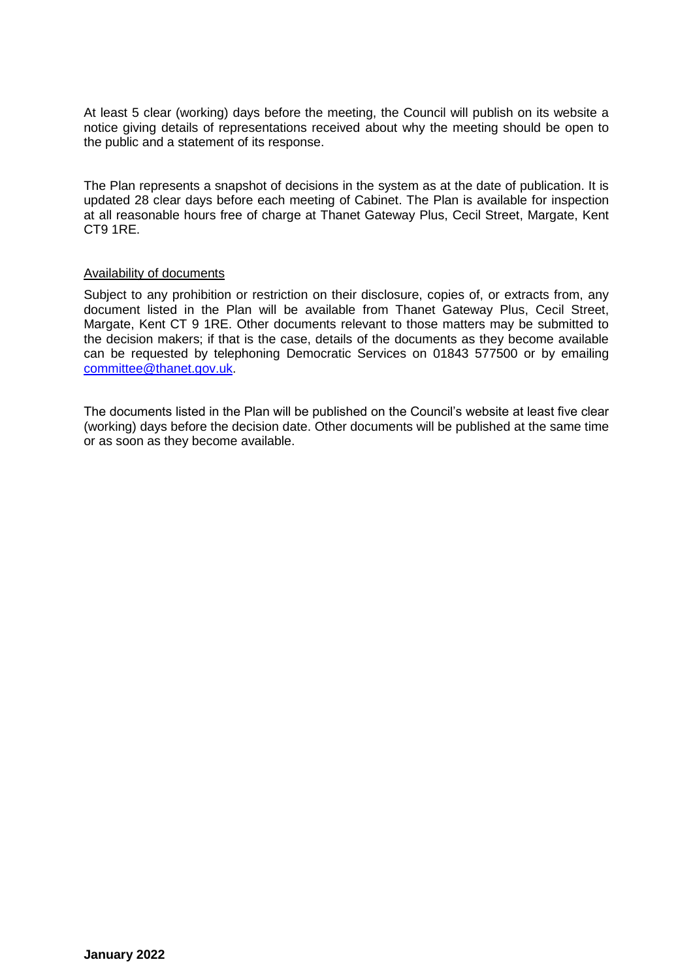At least 5 clear (working) days before the meeting, the Council will publish on its website a notice giving details of representations received about why the meeting should be open to the public and a statement of its response.

The Plan represents a snapshot of decisions in the system as at the date of publication. It is updated 28 clear days before each meeting of Cabinet. The Plan is available for inspection at all reasonable hours free of charge at Thanet Gateway Plus, Cecil Street, Margate, Kent CT9 1RE.

### Availability of documents

Subject to any prohibition or restriction on their disclosure, copies of, or extracts from, any document listed in the Plan will be available from Thanet Gateway Plus, Cecil Street, Margate, Kent CT 9 1RE. Other documents relevant to those matters may be submitted to the decision makers; if that is the case, details of the documents as they become available can be requested by telephoning Democratic Services on 01843 577500 or by emailing [committee@thanet.gov.uk.](mailto:committee@thanet.gov.uk)

The documents listed in the Plan will be published on the Council's website at least five clear (working) days before the decision date. Other documents will be published at the same time or as soon as they become available.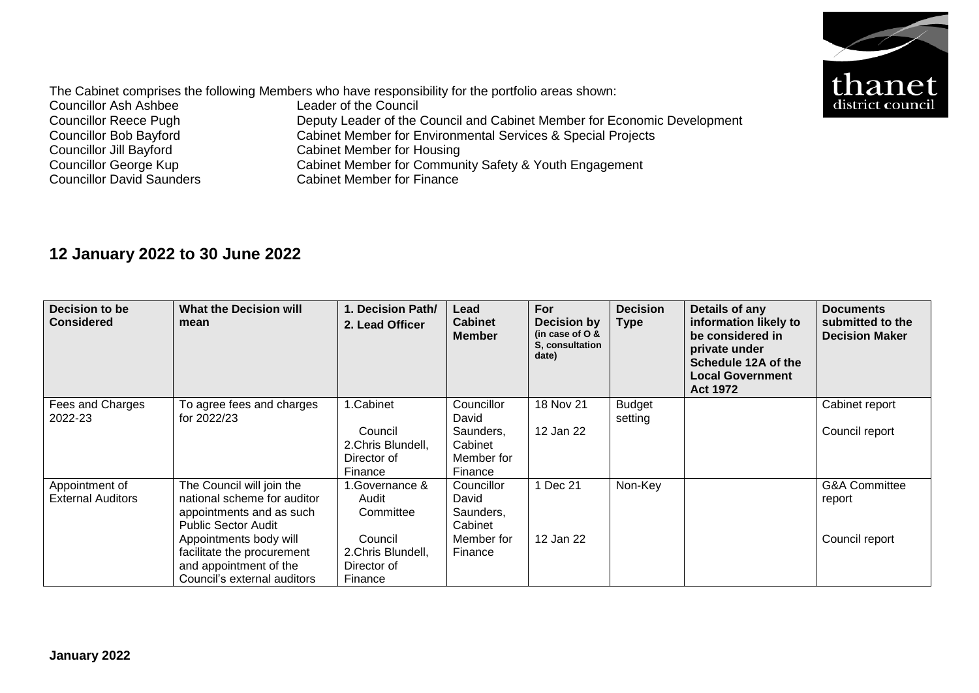

The Cabinet comprises the following Members who have responsibility for the portfolio areas shown:<br>Councillor Ash Ashbee Leader of the Council Councillor Ash Ashbee<br>Councillor Reece Pugh Councillor Reece Pugh Deputy Leader of the Council and Cabinet Member for Economic Development<br>Councillor Bob Bayford Cabinet Member for Environmental Services & Special Projects Councillor Bob Bayford<br>
Cabinet Member for Environmental Services & Special Projects<br>
Cabinet Member for Housing Councillor Jill Bayford<br>
Cabinet Member for Housing<br>
Councillor George Kup<br>
Cabinet Member for Commun Councillor George Kup<br>
Cabinet Member for Community Safety & Youth Engagement<br>
Councillor David Saunders<br>
Cabinet Member for Finance Cabinet Member for Finance

# **12 January 2022 to 30 June 2022**

| Decision to be<br><b>Considered</b>        | <b>What the Decision will</b><br>mean                                                                                                                                                                                               | 1. Decision Path/<br>2. Lead Officer                                                            | Lead<br><b>Cabinet</b><br><b>Member</b>                              | For<br>Decision by<br>(in case of $O$ &<br>S. consultation<br>date) | <b>Decision</b><br><b>Type</b> | Details of any<br>information likely to<br>be considered in<br>private under<br>Schedule 12A of the<br><b>Local Government</b><br><b>Act 1972</b> | <b>Documents</b><br>submitted to the<br><b>Decision Maker</b> |
|--------------------------------------------|-------------------------------------------------------------------------------------------------------------------------------------------------------------------------------------------------------------------------------------|-------------------------------------------------------------------------------------------------|----------------------------------------------------------------------|---------------------------------------------------------------------|--------------------------------|---------------------------------------------------------------------------------------------------------------------------------------------------|---------------------------------------------------------------|
| Fees and Charges<br>2022-23                | To agree fees and charges<br>for 2022/23                                                                                                                                                                                            | 1.Cabinet<br>Council<br>2.Chris Blundell,<br>Director of<br>Finance                             | Councillor<br>David<br>Saunders,<br>Cabinet<br>Member for<br>Finance | 18 Nov 21<br>12 Jan 22                                              | <b>Budget</b><br>setting       |                                                                                                                                                   | Cabinet report<br>Council report                              |
| Appointment of<br><b>External Auditors</b> | The Council will join the<br>national scheme for auditor<br>appointments and as such<br><b>Public Sector Audit</b><br>Appointments body will<br>facilitate the procurement<br>and appointment of the<br>Council's external auditors | 1.Governance &<br>Audit<br>Committee<br>Council<br>2. Chris Blundell,<br>Director of<br>Finance | Councillor<br>David<br>Saunders,<br>Cabinet<br>Member for<br>Finance | 1 Dec 21<br>12 Jan 22                                               | Non-Key                        |                                                                                                                                                   | <b>G&amp;A Committee</b><br>report<br>Council report          |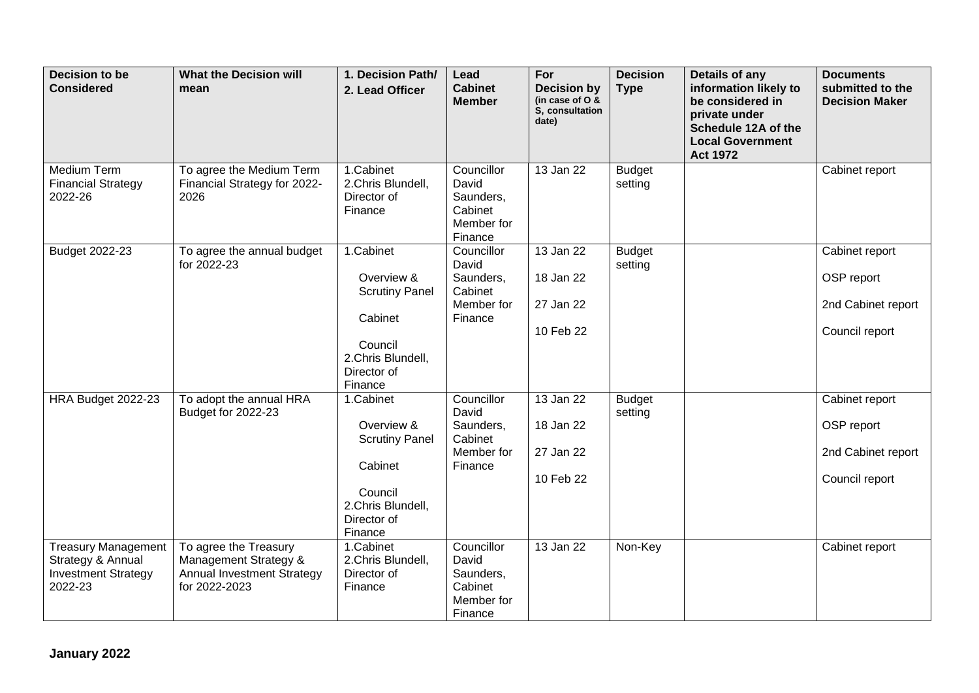| Decision to be<br><b>Considered</b>                                                      | <b>What the Decision will</b><br>mean                                                                | 1. Decision Path/<br>2. Lead Officer                                                                                  | Lead<br><b>Cabinet</b><br><b>Member</b>                              | For<br><b>Decision by</b><br>(in case of $O$ &<br>S, consultation<br>date) | <b>Decision</b><br><b>Type</b> | Details of any<br>information likely to<br>be considered in<br>private under<br>Schedule 12A of the<br><b>Local Government</b><br><b>Act 1972</b> | <b>Documents</b><br>submitted to the<br><b>Decision Maker</b>        |
|------------------------------------------------------------------------------------------|------------------------------------------------------------------------------------------------------|-----------------------------------------------------------------------------------------------------------------------|----------------------------------------------------------------------|----------------------------------------------------------------------------|--------------------------------|---------------------------------------------------------------------------------------------------------------------------------------------------|----------------------------------------------------------------------|
| Medium Term<br><b>Financial Strategy</b><br>2022-26                                      | To agree the Medium Term<br>Financial Strategy for 2022-<br>2026                                     | 1.Cabinet<br>2.Chris Blundell,<br>Director of<br>Finance                                                              | Councillor<br>David<br>Saunders,<br>Cabinet<br>Member for<br>Finance | 13 Jan 22                                                                  | <b>Budget</b><br>setting       |                                                                                                                                                   | Cabinet report                                                       |
| Budget 2022-23                                                                           | To agree the annual budget<br>for 2022-23                                                            | 1.Cabinet<br>Overview &<br><b>Scrutiny Panel</b><br>Cabinet<br>Council<br>2.Chris Blundell,<br>Director of<br>Finance | Councillor<br>David<br>Saunders,<br>Cabinet<br>Member for<br>Finance | 13 Jan 22<br>18 Jan 22<br>27 Jan 22<br>10 Feb 22                           | <b>Budget</b><br>setting       |                                                                                                                                                   | Cabinet report<br>OSP report<br>2nd Cabinet report<br>Council report |
| HRA Budget 2022-23                                                                       | To adopt the annual HRA<br>Budget for 2022-23                                                        | 1.Cabinet<br>Overview &<br><b>Scrutiny Panel</b><br>Cabinet<br>Council<br>2.Chris Blundell,<br>Director of<br>Finance | Councillor<br>David<br>Saunders,<br>Cabinet<br>Member for<br>Finance | 13 Jan 22<br>18 Jan 22<br>27 Jan 22<br>10 Feb 22                           | <b>Budget</b><br>setting       |                                                                                                                                                   | Cabinet report<br>OSP report<br>2nd Cabinet report<br>Council report |
| <b>Treasury Management</b><br>Strategy & Annual<br><b>Investment Strategy</b><br>2022-23 | To agree the Treasury<br>Management Strategy &<br><b>Annual Investment Strategy</b><br>for 2022-2023 | 1.Cabinet<br>2.Chris Blundell,<br>Director of<br>Finance                                                              | Councillor<br>David<br>Saunders,<br>Cabinet<br>Member for<br>Finance | 13 Jan 22                                                                  | Non-Key                        |                                                                                                                                                   | Cabinet report                                                       |